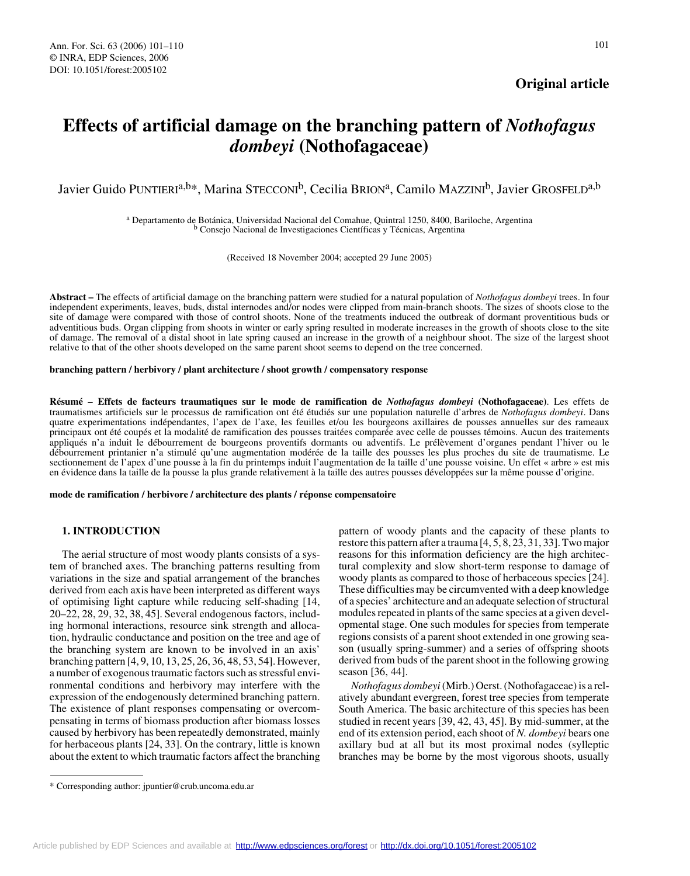## **Original article**

# **Effects of artificial damage on the branching pattern of** *Nothofagus dombeyi* **(Nothofagaceae)**

Javier Guido PUNTIERI<sup>a,b\*</sup>, Marina STECCONI<sup>b</sup>, Cecilia BRION<sup>a</sup>, Camilo MAZZINI<sup>b</sup>, Javier GROSFELD<sup>a,b</sup>

a Departamento de Botánica, Universidad Nacional del Comahue, Quintral 1250, 8400, Bariloche, Argentina b Consejo Nacional de Investigaciones Científicas y Técnicas, Argentina

(Received 18 November 2004; accepted 29 June 2005)

**Abstract –** The effects of artificial damage on the branching pattern were studied for a natural population of *Nothofagus dombeyi* trees. In four independent experiments, leaves, buds, distal internodes and/or nodes were clipped from main-branch shoots. The sizes of shoots close to the site of damage were compared with those of control shoots. None of the treatments induced the outbreak of dormant proventitious buds or adventitious buds. Organ clipping from shoots in winter or early spring resulted in moderate increases in the growth of shoots close to the site of damage. The removal of a distal shoot in late spring caused an increase in the growth of a neighbour shoot. The size of the largest shoot relative to that of the other shoots developed on the same parent shoot seems to depend on the tree concerned.

#### **branching pattern / herbivory / plant architecture / shoot growth / compensatory response**

**Résumé – Effets de facteurs traumatiques sur le mode de ramification de** *Nothofagus dombeyi* **(Nothofagaceae)**. Les effets de traumatismes artificiels sur le processus de ramification ont été étudiés sur une population naturelle d'arbres de *Nothofagus dombeyi*. Dans quatre experimentations indépendantes, l'apex de l'axe, les feuilles et/ou les bourgeons axillaires de pousses annuelles sur des rameaux principaux ont été coupés et la modalité de ramification des pousses traitées comparée avec celle de pousses témoins. Aucun des traitements appliqués n'a induit le débourrement de bourgeons proventifs dormants ou adventifs. Le prélèvement d'organes pendant l'hiver ou le débourrement printanier n'a stimulé qu'une augmentation modérée de la taille des pousses les plus proches du site de traumatisme. Le sectionnement de l'apex d'une pousse à la fin du printemps induit l'augmentation de la taille d'une pousse voisine. Un effet « arbre » est mis en évidence dans la taille de la pousse la plus grande relativement à la taille des autres pousses développées sur la même pousse d'origine.

**mode de ramification / herbivore / architecture des plants / réponse compensatoire**

## **1. INTRODUCTION**

The aerial structure of most woody plants consists of a system of branched axes. The branching patterns resulting from variations in the size and spatial arrangement of the branches derived from each axis have been interpreted as different ways of optimising light capture while reducing self-shading [14, 20–22, 28, 29, 32, 38, 45]. Several endogenous factors, including hormonal interactions, resource sink strength and allocation, hydraulic conductance and position on the tree and age of the branching system are known to be involved in an axis' branching pattern [4, 9, 10, 13, 25, 26, 36, 48, 53, 54]. However, a number of exogenous traumatic factors such as stressful environmental conditions and herbivory may interfere with the expression of the endogenously determined branching pattern. The existence of plant responses compensating or overcompensating in terms of biomass production after biomass losses caused by herbivory has been repeatedly demonstrated, mainly for herbaceous plants [24, 33]. On the contrary, little is known about the extent to which traumatic factors affect the branching pattern of woody plants and the capacity of these plants to restore this pattern after a trauma [4, 5, 8, 23, 31, 33]. Two major reasons for this information deficiency are the high architectural complexity and slow short-term response to damage of woody plants as compared to those of herbaceous species [24]. These difficulties may be circumvented with a deep knowledge of a species' architecture and an adequate selection of structural modules repeated in plants of the same species at a given developmental stage. One such modules for species from temperate regions consists of a parent shoot extended in one growing season (usually spring-summer) and a series of offspring shoots derived from buds of the parent shoot in the following growing season [36, 44].

*Nothofagus dombeyi* (Mirb.) Oerst. (Nothofagaceae) is a relatively abundant evergreen, forest tree species from temperate South America. The basic architecture of this species has been studied in recent years [39, 42, 43, 45]. By mid-summer, at the end of its extension period, each shoot of *N. dombeyi* bears one axillary bud at all but its most proximal nodes (sylleptic branches may be borne by the most vigorous shoots, usually

<sup>\*</sup> Corresponding author: jpuntier@crub.uncoma.edu.ar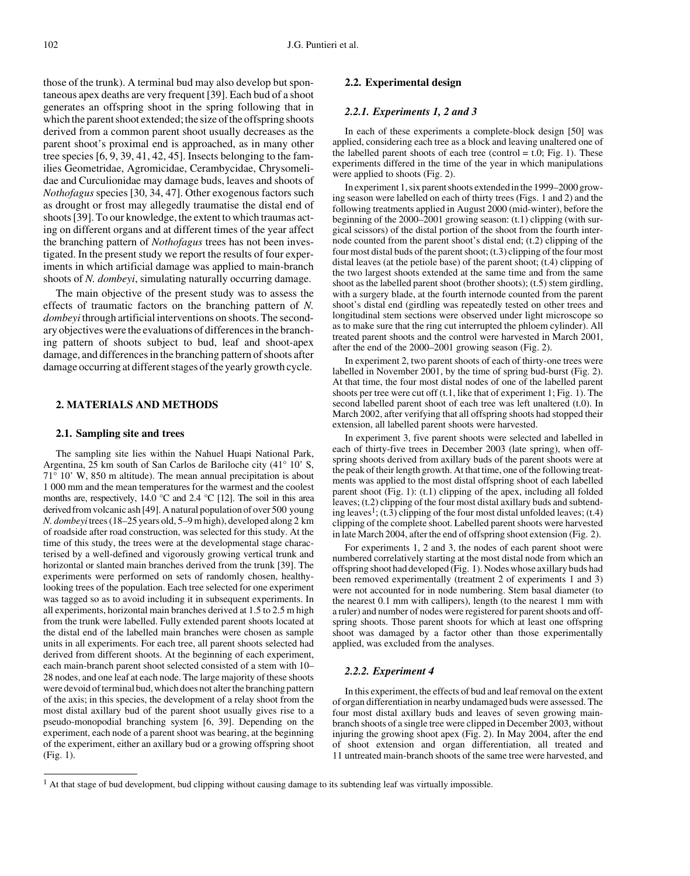those of the trunk). A terminal bud may also develop but spontaneous apex deaths are very frequent [39]. Each bud of a shoot generates an offspring shoot in the spring following that in which the parent shoot extended; the size of the offspring shoots derived from a common parent shoot usually decreases as the parent shoot's proximal end is approached, as in many other tree species [6, 9, 39, 41, 42, 45]. Insects belonging to the families Geometridae, Agromicidae, Cerambycidae, Chrysomelidae and Curculionidae may damage buds, leaves and shoots of *Nothofagus* species [30, 34, 47]. Other exogenous factors such as drought or frost may allegedly traumatise the distal end of shoots [39]. To our knowledge, the extent to which traumas acting on different organs and at different times of the year affect the branching pattern of *Nothofagus* trees has not been investigated. In the present study we report the results of four experiments in which artificial damage was applied to main-branch shoots of *N. dombeyi*, simulating naturally occurring damage.

The main objective of the present study was to assess the effects of traumatic factors on the branching pattern of *N. dombeyi* through artificial interventions on shoots. The secondary objectives were the evaluations of differences in the branching pattern of shoots subject to bud, leaf and shoot-apex damage, and differences in the branching pattern of shoots after damage occurring at different stages of the yearly growth cycle.

## **2. MATERIALS AND METHODS**

#### **2.1. Sampling site and trees**

The sampling site lies within the Nahuel Huapi National Park, Argentina, 25 km south of San Carlos de Bariloche city (41° 10' S, 71° 10' W, 850 m altitude). The mean annual precipitation is about 1 000 mm and the mean temperatures for the warmest and the coolest months are, respectively, 14.0  $\degree$ C and 2.4  $\degree$ C [12]. The soil in this area derived from volcanic ash [49]. A natural population of over 500 young *N. dombeyi* trees (18–25 years old, 5–9 m high), developed along 2 km of roadside after road construction, was selected for this study. At the time of this study, the trees were at the developmental stage characterised by a well-defined and vigorously growing vertical trunk and horizontal or slanted main branches derived from the trunk [39]. The experiments were performed on sets of randomly chosen, healthylooking trees of the population. Each tree selected for one experiment was tagged so as to avoid including it in subsequent experiments. In all experiments, horizontal main branches derived at 1.5 to 2.5 m high from the trunk were labelled. Fully extended parent shoots located at the distal end of the labelled main branches were chosen as sample units in all experiments. For each tree, all parent shoots selected had derived from different shoots. At the beginning of each experiment, each main-branch parent shoot selected consisted of a stem with 10– 28 nodes, and one leaf at each node. The large majority of these shoots were devoid of terminal bud, which does not alter the branching pattern of the axis; in this species, the development of a relay shoot from the most distal axillary bud of the parent shoot usually gives rise to a pseudo-monopodial branching system [6, 39]. Depending on the experiment, each node of a parent shoot was bearing, at the beginning of the experiment, either an axillary bud or a growing offspring shoot (Fig. 1).

## **2.2. Experimental design**

## *2.2.1. Experiments 1, 2 and 3*

In each of these experiments a complete-block design [50] was applied, considering each tree as a block and leaving unaltered one of the labelled parent shoots of each tree (control  $=$  t.0; Fig. 1). These experiments differed in the time of the year in which manipulations were applied to shoots (Fig. 2).

In experiment 1, six parent shoots extended in the 1999–2000 growing season were labelled on each of thirty trees (Figs. 1 and 2) and the following treatments applied in August 2000 (mid-winter), before the beginning of the 2000–2001 growing season: (t.1) clipping (with surgical scissors) of the distal portion of the shoot from the fourth internode counted from the parent shoot's distal end; (t.2) clipping of the four most distal buds of the parent shoot; (t.3) clipping of the four most distal leaves (at the petiole base) of the parent shoot; (t.4) clipping of the two largest shoots extended at the same time and from the same shoot as the labelled parent shoot (brother shoots); (t.5) stem girdling, with a surgery blade, at the fourth internode counted from the parent shoot's distal end (girdling was repeatedly tested on other trees and longitudinal stem sections were observed under light microscope so as to make sure that the ring cut interrupted the phloem cylinder). All treated parent shoots and the control were harvested in March 2001, after the end of the 2000–2001 growing season (Fig. 2).

In experiment 2, two parent shoots of each of thirty-one trees were labelled in November 2001, by the time of spring bud-burst (Fig. 2). At that time, the four most distal nodes of one of the labelled parent shoots per tree were cut off (t.1, like that of experiment 1; Fig. 1). The second labelled parent shoot of each tree was left unaltered (t.0). In March 2002, after verifying that all offspring shoots had stopped their extension, all labelled parent shoots were harvested.

In experiment 3, five parent shoots were selected and labelled in each of thirty-five trees in December 2003 (late spring), when offspring shoots derived from axillary buds of the parent shoots were at the peak of their length growth. At that time, one of the following treatments was applied to the most distal offspring shoot of each labelled parent shoot (Fig. 1): (t.1) clipping of the apex, including all folded leaves; (t.2) clipping of the four most distal axillary buds and subtending leaves<sup>1</sup>; (t.3) clipping of the four most distal unfolded leaves; (t.4) clipping of the complete shoot. Labelled parent shoots were harvested in late March 2004, after the end of offspring shoot extension (Fig. 2).

For experiments 1, 2 and 3, the nodes of each parent shoot were numbered correlatively starting at the most distal node from which an offspring shoot had developed (Fig. 1). Nodes whose axillary buds had been removed experimentally (treatment 2 of experiments 1 and 3) were not accounted for in node numbering. Stem basal diameter (to the nearest 0.1 mm with callipers), length (to the nearest 1 mm with a ruler) and number of nodes were registered for parent shoots and offspring shoots. Those parent shoots for which at least one offspring shoot was damaged by a factor other than those experimentally applied, was excluded from the analyses.

## *2.2.2. Experiment 4*

In this experiment, the effects of bud and leaf removal on the extent of organ differentiation in nearby undamaged buds were assessed. The four most distal axillary buds and leaves of seven growing mainbranch shoots of a single tree were clipped in December 2003, without injuring the growing shoot apex (Fig. 2). In May 2004, after the end of shoot extension and organ differentiation, all treated and 11 untreated main-branch shoots of the same tree were harvested, and

<sup>&</sup>lt;sup>1</sup> At that stage of bud development, bud clipping without causing damage to its subtending leaf was virtually impossible.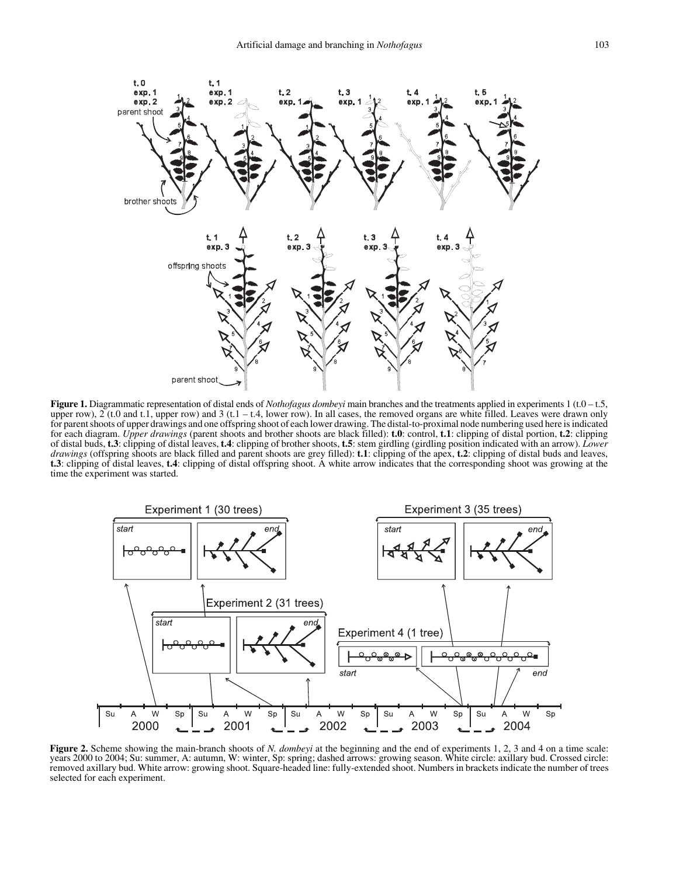

**Figure 1.** Diagrammatic representation of distal ends of *Nothofagus dombeyi* main branches and the treatments applied in experiments 1 (t.0 – t.5, upper row),  $2$  (t.0 and t.1, upper row) and 3 (t.1 – t.4, lower row). In all cases, the removed organs are white filled. Leaves were drawn only for parent shoots of upper drawings and one offspring shoot of each lower drawing. The distal-to-proximal node numbering used here is indicated for each diagram. *Upper drawings* (parent shoots and brother shoots are black filled): **t.0**: control, **t.1**: clipping of distal portion, **t.2**: clipping of distal buds, **t.3**: clipping of distal leaves, **t.4**: clipping of brother shoots, **t.5**: stem girdling (girdling position indicated with an arrow). *Lower drawings* (offspring shoots are black filled and parent shoots are grey filled): **t.1**: clipping of the apex, **t.2**: clipping of distal buds and leaves, **t.3**: clipping of distal leaves, **t.4**: clipping of distal offspring shoot. A white arrow indicates that the corresponding shoot was growing at the time the experiment was started.



**Figure 2.** Scheme showing the main-branch shoots of *N. dombeyi* at the beginning and the end of experiments 1, 2, 3 and 4 on a time scale: years 2000 to 2004; Su: summer, A: autumn, W: winter, Sp: spring; dashed arrows: growing season. White circle: axillary bud. Crossed circle: removed axillary bud. White arrow: growing shoot. Square-headed line: fully-extended shoot. Numbers in brackets indicate the number of trees selected for each experiment.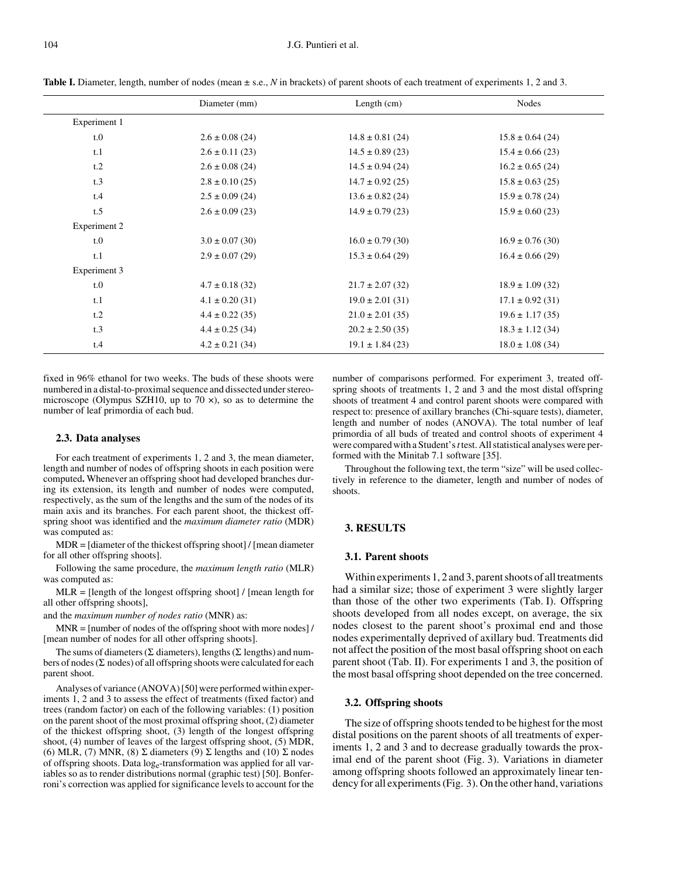|              | Diameter (mm)       | Length $(cm)$        | Nodes                |  |  |
|--------------|---------------------|----------------------|----------------------|--|--|
| Experiment 1 |                     |                      |                      |  |  |
| t.0          | $2.6 \pm 0.08$ (24) | $14.8 \pm 0.81$ (24) | $15.8 \pm 0.64$ (24) |  |  |
| t.1          | $2.6 \pm 0.11(23)$  | $14.5 \pm 0.89$ (23) | $15.4 \pm 0.66$ (23) |  |  |
| t.2          | $2.6 \pm 0.08$ (24) | $14.5 \pm 0.94$ (24) | $16.2 \pm 0.65$ (24) |  |  |
| t.3          | $2.8 \pm 0.10$ (25) | $14.7 \pm 0.92$ (25) | $15.8 \pm 0.63$ (25) |  |  |
| t.4          | $2.5 \pm 0.09$ (24) | $13.6 \pm 0.82$ (24) | $15.9 \pm 0.78$ (24) |  |  |
| t.5          | $2.6 \pm 0.09$ (23) | $14.9 \pm 0.79$ (23) | $15.9 \pm 0.60$ (23) |  |  |
| Experiment 2 |                     |                      |                      |  |  |
| t.0          | $3.0 \pm 0.07$ (30) | $16.0 \pm 0.79$ (30) | $16.9 \pm 0.76$ (30) |  |  |
| t.1          | $2.9 \pm 0.07(29)$  | $15.3 \pm 0.64$ (29) | $16.4 \pm 0.66$ (29) |  |  |
| Experiment 3 |                     |                      |                      |  |  |
| t.0          | $4.7 \pm 0.18$ (32) | $21.7 \pm 2.07$ (32) | $18.9 \pm 1.09$ (32) |  |  |
| t.1          | $4.1 \pm 0.20$ (31) | $19.0 \pm 2.01$ (31) | $17.1 \pm 0.92$ (31) |  |  |
| t.2          | $4.4 \pm 0.22$ (35) | $21.0 \pm 2.01$ (35) | $19.6 \pm 1.17(35)$  |  |  |
| t.3          | $4.4 \pm 0.25$ (34) | $20.2 \pm 2.50(35)$  | $18.3 \pm 1.12$ (34) |  |  |
| t.4          | $4.2 \pm 0.21$ (34) | $19.1 \pm 1.84$ (23) | $18.0 \pm 1.08$ (34) |  |  |

**Table I.** Diameter, length, number of nodes (mean  $\pm$  s.e., N in brackets) of parent shoots of each treatment of experiments 1, 2 and 3.

fixed in 96% ethanol for two weeks. The buds of these shoots were numbered in a distal-to-proximal sequence and dissected under stereomicroscope (Olympus SZH10, up to 70  $\times$ ), so as to determine the number of leaf primordia of each bud.

## **2.3. Data analyses**

For each treatment of experiments 1, 2 and 3, the mean diameter, length and number of nodes of offspring shoots in each position were computed**.** Whenever an offspring shoot had developed branches during its extension, its length and number of nodes were computed, respectively, as the sum of the lengths and the sum of the nodes of its main axis and its branches. For each parent shoot, the thickest offspring shoot was identified and the *maximum diameter ratio* (MDR) was computed as:

MDR = [diameter of the thickest offspring shoot] / [mean diameter for all other offspring shoots].

Following the same procedure, the *maximum length ratio* (MLR) was computed as:

MLR = [length of the longest offspring shoot] / [mean length for all other offspring shoots],

and the *maximum number of nodes ratio* (MNR) as:

MNR = [number of nodes of the offspring shoot with more nodes] / [mean number of nodes for all other offspring shoots].

The sums of diameters ( $\Sigma$  diameters), lengths ( $\Sigma$  lengths) and numbers of nodes ( $\Sigma$  nodes) of all offspring shoots were calculated for each parent shoot.

Analyses of variance (ANOVA) [50] were performed within experiments 1, 2 and 3 to assess the effect of treatments (fixed factor) and trees (random factor) on each of the following variables: (1) position on the parent shoot of the most proximal offspring shoot, (2) diameter of the thickest offspring shoot, (3) length of the longest offspring shoot, (4) number of leaves of the largest offspring shoot, (5) MDR, (6) MLR, (7) MNR, (8)  $\Sigma$  diameters (9)  $\Sigma$  lengths and (10)  $\Sigma$  nodes of offspring shoots. Data loge-transformation was applied for all variables so as to render distributions normal (graphic test) [50]. Bonferroni's correction was applied for significance levels to account for the number of comparisons performed. For experiment 3, treated offspring shoots of treatments 1, 2 and 3 and the most distal offspring shoots of treatment 4 and control parent shoots were compared with respect to: presence of axillary branches (Chi-square tests), diameter, length and number of nodes (ANOVA). The total number of leaf primordia of all buds of treated and control shoots of experiment 4 were compared with a Student's *t* test. All statistical analyses were performed with the Minitab 7.1 software [35].

Throughout the following text, the term "size" will be used collectively in reference to the diameter, length and number of nodes of shoots.

## **3. RESULTS**

#### **3.1. Parent shoots**

Within experiments 1, 2 and 3, parent shoots of all treatments had a similar size; those of experiment 3 were slightly larger than those of the other two experiments (Tab. I). Offspring shoots developed from all nodes except, on average, the six nodes closest to the parent shoot's proximal end and those nodes experimentally deprived of axillary bud. Treatments did not affect the position of the most basal offspring shoot on each parent shoot (Tab. II). For experiments 1 and 3, the position of the most basal offspring shoot depended on the tree concerned.

#### **3.2. Offspring shoots**

The size of offspring shoots tended to be highest for the most distal positions on the parent shoots of all treatments of experiments 1, 2 and 3 and to decrease gradually towards the proximal end of the parent shoot (Fig. 3). Variations in diameter among offspring shoots followed an approximately linear tendency for all experiments (Fig. 3). On the other hand, variations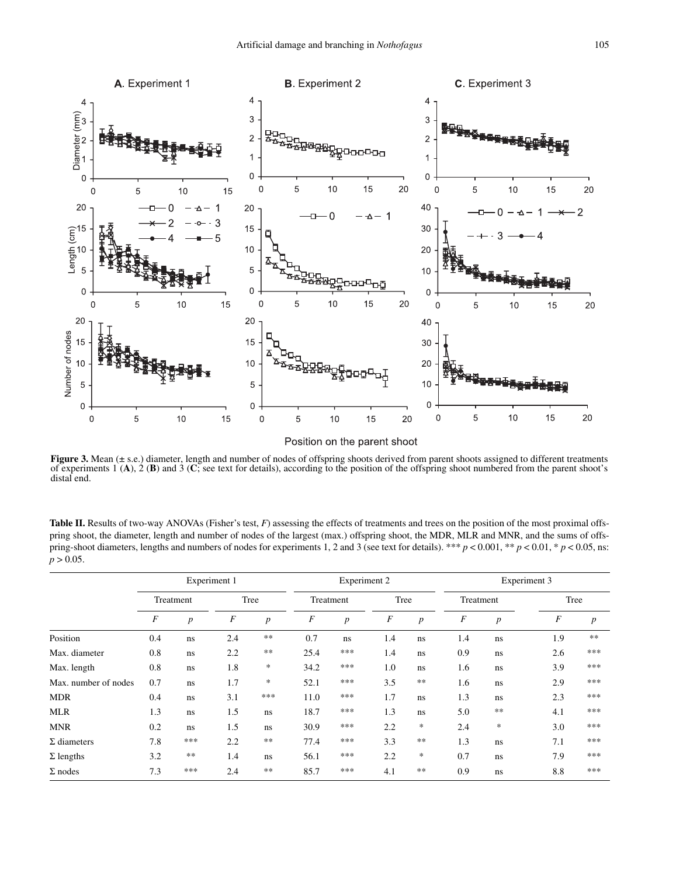

**Figure 3.** Mean ( $\pm$  s.e.) diameter, length and number of nodes of offspring shoots derived from parent shoots assigned to different treatments of experiments 1 (**A**), 2 (**B**) and 3 (**C**; see text for details), according to the position of the offspring shoot numbered from the parent shoot's distal end.

Table II. Results of two-way ANOVAs (Fisher's test, *F*) assessing the effects of treatments and trees on the position of the most proximal offspring shoot, the diameter, length and number of nodes of the largest (max.) offspring shoot, the MDR, MLR and MNR, and the sums of offspring-shoot diameters, lengths and numbers of nodes for experiments 1, 2 and 3 (see text for details). \*\*\*  $p < 0.001$ , \*\*  $p < 0.01$ , \*  $p < 0.05$ , ns:  $p > 0.05$ .

|                      | Experiment 1     |                  |                  | Experiment 2     |           |                  | Experiment 3     |                  |           |                  |                  |                  |  |
|----------------------|------------------|------------------|------------------|------------------|-----------|------------------|------------------|------------------|-----------|------------------|------------------|------------------|--|
|                      | Treatment        |                  | Tree             |                  | Treatment |                  | Tree             |                  | Treatment |                  |                  | Tree             |  |
|                      | $\boldsymbol{F}$ | $\boldsymbol{p}$ | $\boldsymbol{F}$ | $\boldsymbol{p}$ | F         | $\boldsymbol{p}$ | $\boldsymbol{F}$ | $\boldsymbol{p}$ | F         | $\boldsymbol{p}$ | $\boldsymbol{F}$ | $\boldsymbol{p}$ |  |
| Position             | 0.4              | ns               | 2.4              | $\ast\ast$       | 0.7       | ns               | 1.4              | ns               | 1.4       | ns               | 1.9              | $***$            |  |
| Max. diameter        | 0.8              | ns               | 2.2              | $\ast\ast$       | 25.4      | ***              | 1.4              | ns.              | 0.9       | ns               | 2.6              | ***              |  |
| Max. length          | 0.8              | ns               | 1.8              | $\ast$           | 34.2      | ***              | 1.0              | ns               | 1.6       | ns               | 3.9              | ***              |  |
| Max. number of nodes | 0.7              | ns               | 1.7              | $\ast$           | 52.1      | ***              | 3.5              | $**$             | 1.6       | ns               | 2.9              | ***              |  |
| <b>MDR</b>           | 0.4              | ns               | 3.1              | ***              | 11.0      | ***              | 1.7              | ns               | 1.3       | ns               | 2.3              | ***              |  |
| <b>MLR</b>           | 1.3              | ns               | 1.5              | ns               | 18.7      | ***              | 1.3              | ns               | 5.0       | $\ast\ast$       | 4.1              | ***              |  |
| <b>MNR</b>           | 0.2              | ns               | 1.5              | ns               | 30.9      | ***              | 2.2              | $\ast$           | 2.4       | $\ast$           | 3.0              | ***              |  |
| $\Sigma$ diameters   | 7.8              | ***              | 2.2              | $\ast\ast$       | 77.4      | ***              | 3.3              | $**$             | 1.3       | ns               | 7.1              | ***              |  |
| $\Sigma$ lengths     | 3.2              | $\ast\ast$       | 1.4              | ns               | 56.1      | ***              | 2.2              | *                | 0.7       | ns               | 7.9              | ***              |  |
| $\Sigma$ nodes       | 7.3              | ***              | 2.4              | $**$             | 85.7      | ***              | 4.1              | $***$            | 0.9       | ns               | 8.8              | ***              |  |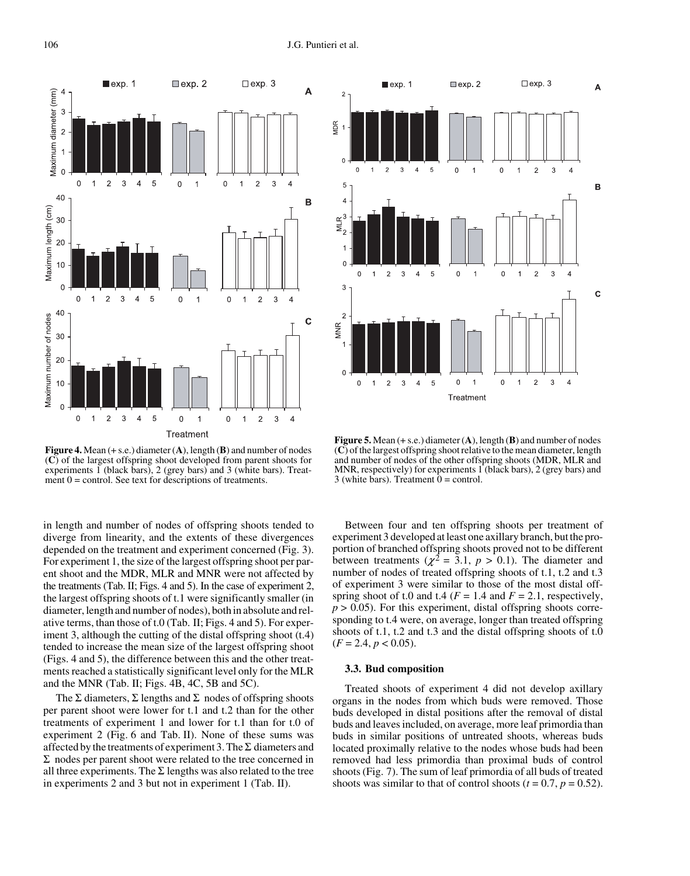

**Figure 4.** Mean (+ s.e.) diameter (**A**), length (**B**) and number of nodes (**C**) of the largest offspring shoot developed from parent shoots for experiments  $\overline{1}$  (black bars),  $\overline{2}$  (grey bars) and  $\overline{3}$  (white bars). Treatment  $0 =$  control. See text for descriptions of treatments.

in length and number of nodes of offspring shoots tended to diverge from linearity, and the extents of these divergences depended on the treatment and experiment concerned (Fig. 3). For experiment 1, the size of the largest offspring shoot per parent shoot and the MDR, MLR and MNR were not affected by the treatments (Tab. II; Figs. 4 and 5). In the case of experiment 2, the largest offspring shoots of t.1 were significantly smaller (in diameter, length and number of nodes), both in absolute and relative terms, than those of t.0 (Tab. II; Figs. 4 and 5). For experiment 3, although the cutting of the distal offspring shoot  $(t.4)$ tended to increase the mean size of the largest offspring shoot (Figs. 4 and 5), the difference between this and the other treatments reached a statistically significant level only for the MLR and the MNR (Tab. II; Figs. 4B, 4C, 5B and 5C).

The  $\Sigma$  diameters,  $\Sigma$  lengths and  $\Sigma$  nodes of offspring shoots per parent shoot were lower for t.1 and t.2 than for the other treatments of experiment 1 and lower for t.1 than for t.0 of experiment 2 (Fig. 6 and Tab. II). None of these sums was affected by the treatments of experiment 3. The  $\Sigma$  diameters and  $\Sigma$  nodes per parent shoot were related to the tree concerned in all three experiments. The  $\Sigma$  lengths was also related to the tree in experiments 2 and 3 but not in experiment 1 (Tab. II).



**Figure 5.** Mean  $(+ s.e.)$  diameter  $(A)$ , length  $(B)$  and number of nodes (**C**) of the largest offspring shoot relative to the mean diameter, length and number of nodes of the other offspring shoots (MDR, MLR and MNR, respectively) for experiments  $1$  (black bars), 2 (grey bars) and 3 (white bars). Treatment  $0 =$  control.

Between four and ten offspring shoots per treatment of experiment 3 developed at least one axillary branch, but the proportion of branched offspring shoots proved not to be different between treatments ( $\chi^2$  = 3.1,  $p > 0.1$ ). The diameter and number of nodes of treated offspring shoots of t.1, t.2 and t.3 of experiment 3 were similar to those of the most distal offspring shoot of t.0 and t.4 ( $F = 1.4$  and  $F = 2.1$ , respectively,  $p > 0.05$ ). For this experiment, distal offspring shoots corresponding to t.4 were, on average, longer than treated offspring shoots of t.1, t.2 and t.3 and the distal offspring shoots of t.0  $(F = 2.4, p < 0.05).$ 

#### **3.3. Bud composition**

Treated shoots of experiment 4 did not develop axillary organs in the nodes from which buds were removed. Those buds developed in distal positions after the removal of distal buds and leaves included, on average, more leaf primordia than buds in similar positions of untreated shoots, whereas buds located proximally relative to the nodes whose buds had been removed had less primordia than proximal buds of control shoots (Fig. 7). The sum of leaf primordia of all buds of treated shoots was similar to that of control shoots ( $t = 0.7$ ,  $p = 0.52$ ).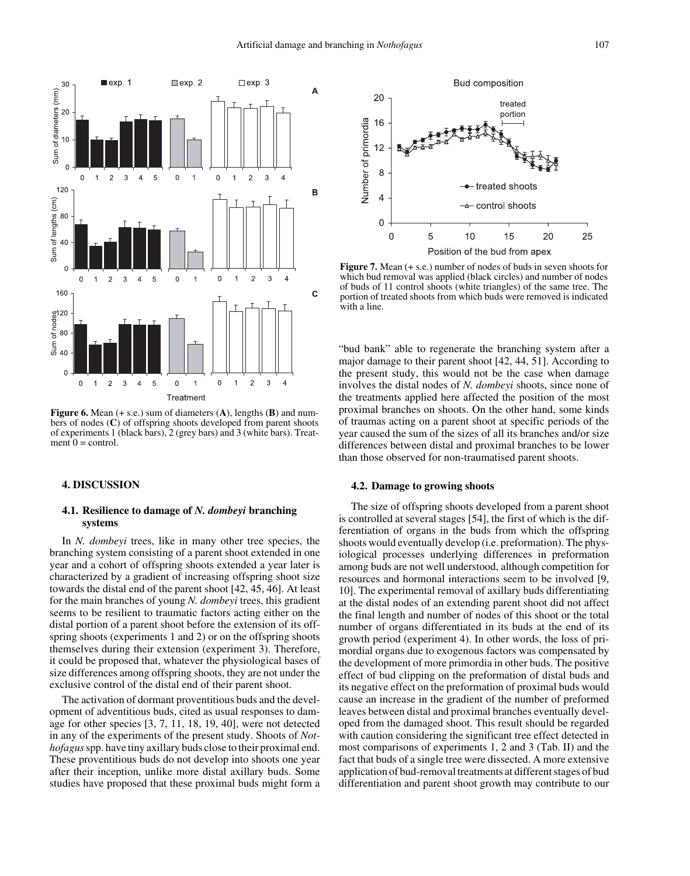

**Figure 6.** Mean (+ s.e.) sum of diameters (**A**), lengths (**B**) and numbers of nodes (**C**) of offspring shoots developed from parent shoots of experiments 1 (black bars), 2 (grey bars) and 3 (white bars). Treatment  $0 =$  control.

## **4. DISCUSSION**

## **4.1. Resilience to damage of** *N. dombeyi* **branching systems**

In *N. dombeyi* trees, like in many other tree species, the branching system consisting of a parent shoot extended in one year and a cohort of offspring shoots extended a year later is characterized by a gradient of increasing offspring shoot size towards the distal end of the parent shoot [42, 45, 46]. At least for the main branches of young *N. dombeyi* trees, this gradient seems to be resilient to traumatic factors acting either on the distal portion of a parent shoot before the extension of its offspring shoots (experiments 1 and 2) or on the offspring shoots themselves during their extension (experiment 3). Therefore, it could be proposed that, whatever the physiological bases of size differences among offspring shoots, they are not under the exclusive control of the distal end of their parent shoot.

The activation of dormant proventitious buds and the development of adventitious buds, cited as usual responses to damage for other species [3, 7, 11, 18, 19, 40], were not detected in any of the experiments of the present study. Shoots of *Nothofagus* spp. have tiny axillary buds close to their proximal end. These proventitious buds do not develop into shoots one year after their inception, unlike more distal axillary buds. Some studies have proposed that these proximal buds might form a



**Figure 7.** Mean (+ s.e.) number of nodes of buds in seven shoots for which bud removal was applied (black circles) and number of nodes of buds of 11 control shoots (white triangles) of the same tree. The portion of treated shoots from which buds were removed is indicated with a line.

"bud bank" able to regenerate the branching system after a major damage to their parent shoot [42, 44, 51]. According to the present study, this would not be the case when damage involves the distal nodes of *N. dombeyi* shoots, since none of the treatments applied here affected the position of the most proximal branches on shoots. On the other hand, some kinds of traumas acting on a parent shoot at specific periods of the year caused the sum of the sizes of all its branches and/or size differences between distal and proximal branches to be lower than those observed for non-traumatised parent shoots.

## **4.2. Damage to growing shoots**

The size of offspring shoots developed from a parent shoot is controlled at several stages [54], the first of which is the differentiation of organs in the buds from which the offspring shoots would eventually develop (i.e. preformation). The physiological processes underlying differences in preformation among buds are not well understood, although competition for resources and hormonal interactions seem to be involved [9, 10]. The experimental removal of axillary buds differentiating at the distal nodes of an extending parent shoot did not affect the final length and number of nodes of this shoot or the total number of organs differentiated in its buds at the end of its growth period (experiment 4). In other words, the loss of primordial organs due to exogenous factors was compensated by the development of more primordia in other buds. The positive effect of bud clipping on the preformation of distal buds and its negative effect on the preformation of proximal buds would cause an increase in the gradient of the number of preformed leaves between distal and proximal branches eventually developed from the damaged shoot. This result should be regarded with caution considering the significant tree effect detected in most comparisons of experiments 1, 2 and 3 (Tab. II) and the fact that buds of a single tree were dissected. A more extensive application of bud-removal treatments at different stages of bud differentiation and parent shoot growth may contribute to our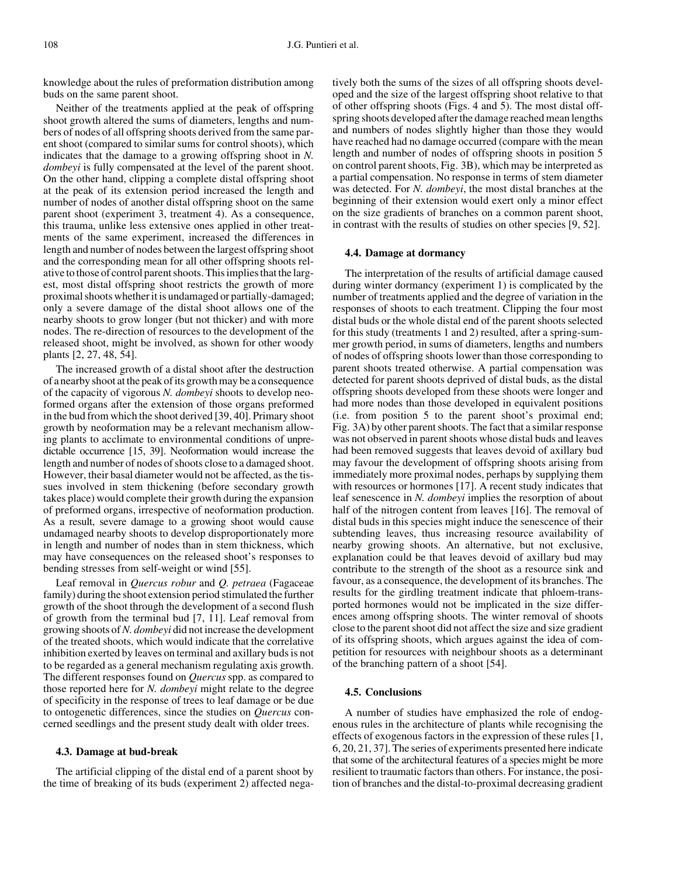knowledge about the rules of preformation distribution among buds on the same parent shoot.

Neither of the treatments applied at the peak of offspring shoot growth altered the sums of diameters, lengths and numbers of nodes of all offspring shoots derived from the same parent shoot (compared to similar sums for control shoots), which indicates that the damage to a growing offspring shoot in *N. dombeyi* is fully compensated at the level of the parent shoot. On the other hand, clipping a complete distal offspring shoot at the peak of its extension period increased the length and number of nodes of another distal offspring shoot on the same parent shoot (experiment 3, treatment 4). As a consequence, this trauma, unlike less extensive ones applied in other treatments of the same experiment, increased the differences in length and number of nodes between the largest offspring shoot and the corresponding mean for all other offspring shoots relative to those of control parent shoots. This implies that the largest, most distal offspring shoot restricts the growth of more proximal shoots whether it is undamaged or partially-damaged; only a severe damage of the distal shoot allows one of the nearby shoots to grow longer (but not thicker) and with more nodes. The re-direction of resources to the development of the released shoot, might be involved, as shown for other woody plants [2, 27, 48, 54].

The increased growth of a distal shoot after the destruction of a nearby shoot at the peak of its growth may be a consequence of the capacity of vigorous *N. dombeyi* shoots to develop neoformed organs after the extension of those organs preformed in the bud from which the shoot derived [39, 40]. Primary shoot growth by neoformation may be a relevant mechanism allowing plants to acclimate to environmental conditions of unpredictable occurrence [15, 39]. Neoformation would increase the length and number of nodes of shoots close to a damaged shoot. However, their basal diameter would not be affected, as the tissues involved in stem thickening (before secondary growth takes place) would complete their growth during the expansion of preformed organs, irrespective of neoformation production. As a result, severe damage to a growing shoot would cause undamaged nearby shoots to develop disproportionately more in length and number of nodes than in stem thickness, which may have consequences on the released shoot's responses to bending stresses from self-weight or wind [55].

Leaf removal in *Quercus robur* and *Q. petraea* (Fagaceae family) during the shoot extension period stimulated the further growth of the shoot through the development of a second flush of growth from the terminal bud [7, 11]. Leaf removal from growing shoots of *N. dombeyi* did not increase the development of the treated shoots, which would indicate that the correlative inhibition exerted by leaves on terminal and axillary buds is not to be regarded as a general mechanism regulating axis growth. The different responses found on *Quercus* spp. as compared to those reported here for *N. dombeyi* might relate to the degree of specificity in the response of trees to leaf damage or be due to ontogenetic differences, since the studies on *Quercus* concerned seedlings and the present study dealt with older trees.

## **4.3. Damage at bud-break**

The artificial clipping of the distal end of a parent shoot by the time of breaking of its buds (experiment 2) affected negatively both the sums of the sizes of all offspring shoots developed and the size of the largest offspring shoot relative to that of other offspring shoots (Figs. 4 and 5). The most distal offspring shoots developed after the damage reached mean lengths and numbers of nodes slightly higher than those they would have reached had no damage occurred (compare with the mean length and number of nodes of offspring shoots in position 5 on control parent shoots, Fig. 3B), which may be interpreted as a partial compensation. No response in terms of stem diameter was detected. For *N. dombeyi*, the most distal branches at the beginning of their extension would exert only a minor effect on the size gradients of branches on a common parent shoot, in contrast with the results of studies on other species [9, 52].

## **4.4. Damage at dormancy**

The interpretation of the results of artificial damage caused during winter dormancy (experiment 1) is complicated by the number of treatments applied and the degree of variation in the responses of shoots to each treatment. Clipping the four most distal buds or the whole distal end of the parent shoots selected for this study (treatments 1 and 2) resulted, after a spring-summer growth period, in sums of diameters, lengths and numbers of nodes of offspring shoots lower than those corresponding to parent shoots treated otherwise. A partial compensation was detected for parent shoots deprived of distal buds, as the distal offspring shoots developed from these shoots were longer and had more nodes than those developed in equivalent positions (i.e. from position 5 to the parent shoot's proximal end; Fig. 3A) by other parent shoots. The fact that a similar response was not observed in parent shoots whose distal buds and leaves had been removed suggests that leaves devoid of axillary bud may favour the development of offspring shoots arising from immediately more proximal nodes, perhaps by supplying them with resources or hormones [17]. A recent study indicates that leaf senescence in *N. dombeyi* implies the resorption of about half of the nitrogen content from leaves [16]. The removal of distal buds in this species might induce the senescence of their subtending leaves, thus increasing resource availability of nearby growing shoots. An alternative, but not exclusive, explanation could be that leaves devoid of axillary bud may contribute to the strength of the shoot as a resource sink and favour, as a consequence, the development of its branches. The results for the girdling treatment indicate that phloem-transported hormones would not be implicated in the size differences among offspring shoots. The winter removal of shoots close to the parent shoot did not affect the size and size gradient of its offspring shoots, which argues against the idea of competition for resources with neighbour shoots as a determinant of the branching pattern of a shoot [54].

## **4.5. Conclusions**

A number of studies have emphasized the role of endogenous rules in the architecture of plants while recognising the effects of exogenous factors in the expression of these rules [1, 6, 20, 21, 37]. The series of experiments presented here indicate that some of the architectural features of a species might be more resilient to traumatic factors than others. For instance, the position of branches and the distal-to-proximal decreasing gradient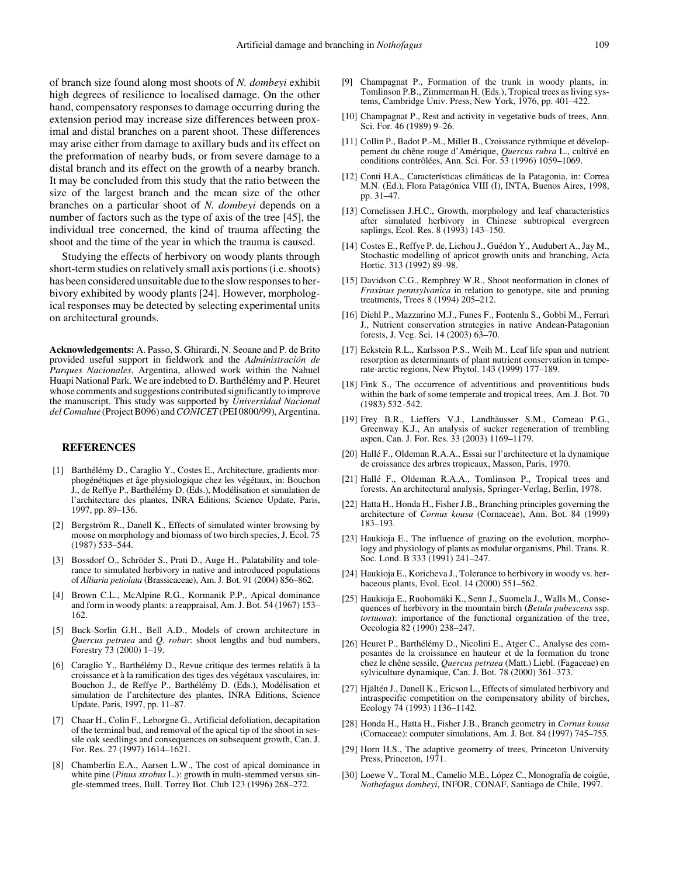of branch size found along most shoots of *N. dombeyi* exhibit high degrees of resilience to localised damage. On the other hand, compensatory responses to damage occurring during the extension period may increase size differences between proximal and distal branches on a parent shoot. These differences may arise either from damage to axillary buds and its effect on the preformation of nearby buds, or from severe damage to a distal branch and its effect on the growth of a nearby branch. It may be concluded from this study that the ratio between the size of the largest branch and the mean size of the other branches on a particular shoot of *N. dombeyi* depends on a number of factors such as the type of axis of the tree [45], the individual tree concerned, the kind of trauma affecting the shoot and the time of the year in which the trauma is caused.

Studying the effects of herbivory on woody plants through short-term studies on relatively small axis portions (i.e. shoots) has been considered unsuitable due to the slow responses to herbivory exhibited by woody plants [24]. However, morphological responses may be detected by selecting experimental units on architectural grounds.

**Acknowledgements:** A. Passo, S. Ghirardi, N. Seoane and P. de Brito provided useful support in fieldwork and the *Administración de Parques Nacionales*, Argentina, allowed work within the Nahuel Huapi National Park. We are indebted to D. Barthélémy and P. Heuret whose comments and suggestions contributed significantly to improve the manuscript. This study was supported by *Universidad Nacional del Comahue* (Project B096) and *CONICET* (PEI 0800/99), Argentina.

## **REFERENCES**

- [1] Barthélémy D., Caraglio Y., Costes E., Architecture, gradients morphogénétiques et âge physiologique chez les végétaux, in: Bouchon J., de Reffye P., Barthélémy D. (Eds.), Modélisation et simulation de l'architecture des plantes, INRA Editions, Science Update, Paris, 1997, pp. 89–136.
- [2] Bergström R., Danell K., Effects of simulated winter browsing by moose on morphology and biomass of two birch species, J. Ecol. 75 (1987) 533–544.
- [3] Bossdorf O., Schröder S., Prati D., Auge H., Palatability and tolerance to simulated herbivory in native and introduced populations of *Alliaria petiolata* (Brassicaceae), Am. J. Bot. 91 (2004) 856–862.
- [4] Brown C.L., McAlpine R.G., Kormanik P.P., Apical dominance and form in woody plants: a reappraisal, Am. J. Bot. 54 (1967) 153– 162.
- [5] Buck-Sorlin G.H., Bell A.D., Models of crown architecture in *Quercus petraea* and *Q. robur*: shoot lengths and bud numbers, Forestry 73 (2000) 1–19.
- [6] Caraglio Y., Barthélémy D., Revue critique des termes relatifs à la croissance et à la ramification des tiges des végétaux vasculaires, in: Bouchon J., de Reffye P., Barthélémy D. (Eds.), Modélisation et simulation de l'architecture des plantes, INRA Editions, Science Update, Paris, 1997, pp. 11–87.
- [7] Chaar H., Colin F., Leborgne G., Artificial defoliation, decapitation of the terminal bud, and removal of the apical tip of the shoot in sessile oak seedlings and consequences on subsequent growth, Can. J. For. Res. 27 (1997) 1614–1621.
- [8] Chamberlin E.A., Aarsen L.W., The cost of apical dominance in white pine (*Pinus strobus* L.): growth in multi-stemmed versus single-stemmed trees, Bull. Torrey Bot. Club 123 (1996) 268–272.
- [9] Champagnat P., Formation of the trunk in woody plants, in: Tomlinson P.B., Zimmerman H. (Eds.), Tropical trees as living systems, Cambridge Univ. Press, New York, 1976, pp. 401–422.
- [10] Champagnat P., Rest and activity in vegetative buds of trees, Ann. Sci. For. 46 (1989) 9–26.
- [11] Collin P., Badot P.-M., Millet B., Croissance rythmique et développement du chêne rouge d'Amérique, *Quercus rubra* L., cultivé en conditions contrôlées, Ann. Sci. For. 53 (1996) 1059–1069.
- [12] Conti H.A., Características climáticas de la Patagonia, in: Correa M.N. (Ed.), Flora Patagónica VIII (I), INTA, Buenos Aires, 1998, pp. 31–47.
- [13] Cornelissen J.H.C., Growth, morphology and leaf characteristics after simulated herbivory in Chinese subtropical evergreen saplings, Ecol. Res. 8 (1993) 143–150.
- [14] Costes E., Reffye P. de, Lichou J., Guédon Y., Audubert A., Jay M., Stochastic modelling of apricot growth units and branching, Acta Hortic. 313 (1992) 89–98.
- [15] Davidson C.G., Remphrey W.R., Shoot neoformation in clones of *Fraxinus pennsylvanica* in relation to genotype, site and pruning treatments, Trees 8 (1994) 205–212.
- [16] Diehl P., Mazzarino M.J., Funes F., Fontenla S., Gobbi M., Ferrari J., Nutrient conservation strategies in native Andean-Patagonian forests, J. Veg. Sci. 14 (2003) 63–70.
- [17] Eckstein R.L., Karlsson P.S., Weih M., Leaf life span and nutrient resorption as determinants of plant nutrient conservation in temperate-arctic regions, New Phytol. 143 (1999) 177–189.
- [18] Fink S., The occurrence of adventitious and proventitious buds within the bark of some temperate and tropical trees, Am. J. Bot. 70 (1983) 532–542.
- [19] Frey B.R., Lieffers V.J., Landhäusser S.M., Comeau P.G., Greenway K.J., An analysis of sucker regeneration of trembling aspen, Can. J. For. Res. 33 (2003) 1169–1179.
- [20] Hallé F., Oldeman R.A.A., Essai sur l'architecture et la dynamique de croissance des arbres tropicaux, Masson, Paris, 1970.
- [21] Hallé F., Oldeman R.A.A., Tomlinson P., Tropical trees and forests. An architectural analysis, Springer-Verlag, Berlin, 1978.
- [22] Hatta H., Honda H., Fisher J.B., Branching principles governing the architecture of *Cornus kousa* (Cornaceae), Ann. Bot. 84 (1999) 183–193.
- [23] Haukioja E., The influence of grazing on the evolution, morphology and physiology of plants as modular organisms, Phil. Trans. R. Soc. Lond. B 333 (1991) 241–247.
- [24] Haukioja E., Koricheva J., Tolerance to herbivory in woody vs. herbaceous plants, Evol. Ecol. 14 (2000) 551–562.
- [25] Haukioja E., Ruohomäki K., Senn J., Suomela J., Walls M., Consequences of herbivory in the mountain birch (*Betula pubescens* ssp. *tortuosa*): importance of the functional organization of the tree, Oecologia 82 (1990) 238–247.
- [26] Heuret P., Barthélémy D., Nicolini E., Atger C., Analyse des composantes de la croissance en hauteur et de la formation du tronc chez le chêne sessile, *Quercus petraea* (Matt.) Liebl. (Fagaceae) en sylviculture dynamique, Can. J. Bot. 78 (2000) 361–373.
- [27] Hjältén J., Danell K., Ericson L., Effects of simulated herbivory and intraspecific competition on the compensatory ability of birches, Ecology 74 (1993) 1136–1142.
- [28] Honda H., Hatta H., Fisher J.B., Branch geometry in *Cornus kousa* (Cornaceae): computer simulations, Am. J. Bot. 84 (1997) 745–755.
- [29] Horn H.S., The adaptive geometry of trees, Princeton University Press, Princeton, 1971.
- [30] Loewe V., Toral M., Camelio M.E., López C., Monografía de coigüe, *Nothofagus dombeyi*, INFOR, CONAF, Santiago de Chile, 1997.